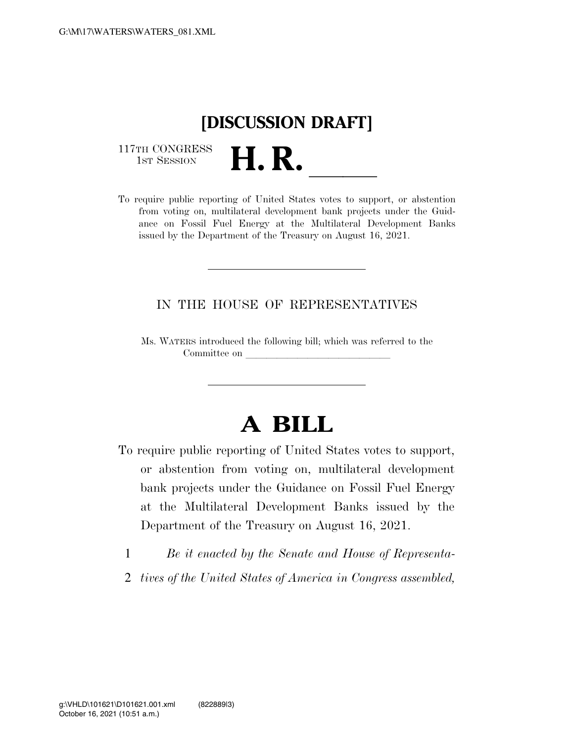## **[DISCUSSION DRAFT]**

117TH CONGRESS<br>1st Session

117TH CONGRESS<br>1st SESSION **H. R.** <u>Indice contracts</u> of United States votes to support, or abstention from voting on, multilateral development bank projects under the Guidance on Fossil Fuel Energy at the Multilateral Development Banks issued by the Department of the Treasury on August 16, 2021.

## IN THE HOUSE OF REPRESENTATIVES

Ms. WATERS introduced the following bill; which was referred to the Committee on

## **A BILL**

- To require public reporting of United States votes to support, or abstention from voting on, multilateral development bank projects under the Guidance on Fossil Fuel Energy at the Multilateral Development Banks issued by the Department of the Treasury on August 16, 2021.
	- 1 *Be it enacted by the Senate and House of Representa-*
	- 2 *tives of the United States of America in Congress assembled,*